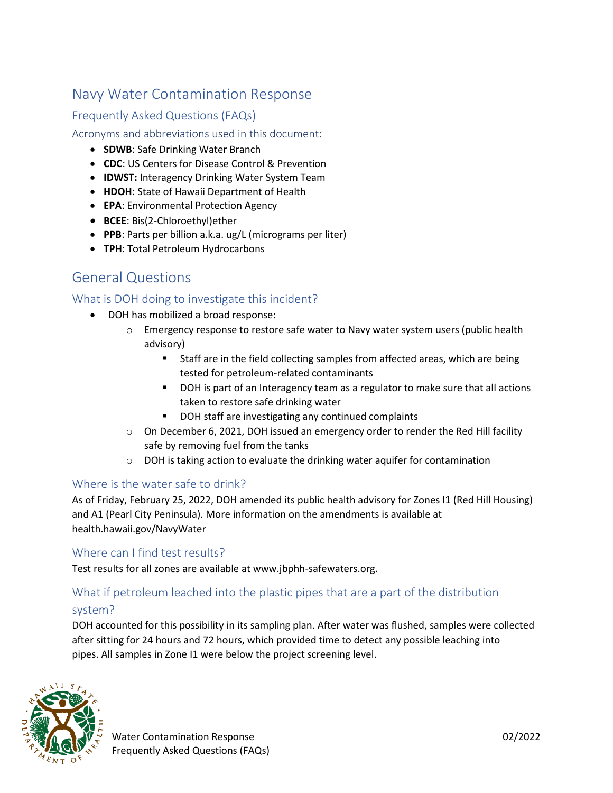## Navy Water Contamination Response

## Frequently Asked Questions (FAQs)

### Acronyms and abbreviations used in this document:

- **SDWB**: Safe Drinking Water Branch
- **CDC**: US Centers for Disease Control & Prevention
- **IDWST:** Interagency Drinking Water System Team
- **HDOH**: State of Hawaii Department of Health
- **EPA**: Environmental Protection Agency
- **BCEE**: Bis(2-Chloroethyl)ether
- **PPB**: Parts per billion a.k.a. ug/L (micrograms per liter)
- **TPH**: Total Petroleum Hydrocarbons

## General Questions

## What is DOH doing to investigate this incident?

- DOH has mobilized a broad response:
	- o Emergency response to restore safe water to Navy water system users (public health advisory)
		- **EXECTE:** Staff are in the field collecting samples from affected areas, which are being tested for petroleum-related contaminants
		- DOH is part of an Interagency team as a regulator to make sure that all actions taken to restore safe drinking water
		- DOH staff are investigating any continued complaints
	- o On December 6, 2021, DOH issued an emergency order to render the Red Hill facility safe by removing fuel from the tanks
	- $\circ$  DOH is taking action to evaluate the drinking water aquifer for contamination

## Where is the water safe to drink?

As of Friday, February 25, 2022, DOH amended its public health advisory for Zones I1 (Red Hill Housing) and A1 (Pearl City Peninsula). More information on the amendments is available at health.hawaii.gov/NavyWater

## Where can I find test results?

Test results for all zones are available at www.jbphh-safewaters.org.

## What if petroleum leached into the plastic pipes that are a part of the distribution system?

DOH accounted for this possibility in its sampling plan. After water was flushed, samples were collected after sitting for 24 hours and 72 hours, which provided time to detect any possible leaching into pipes. All samples in Zone I1 were below the project screening level.

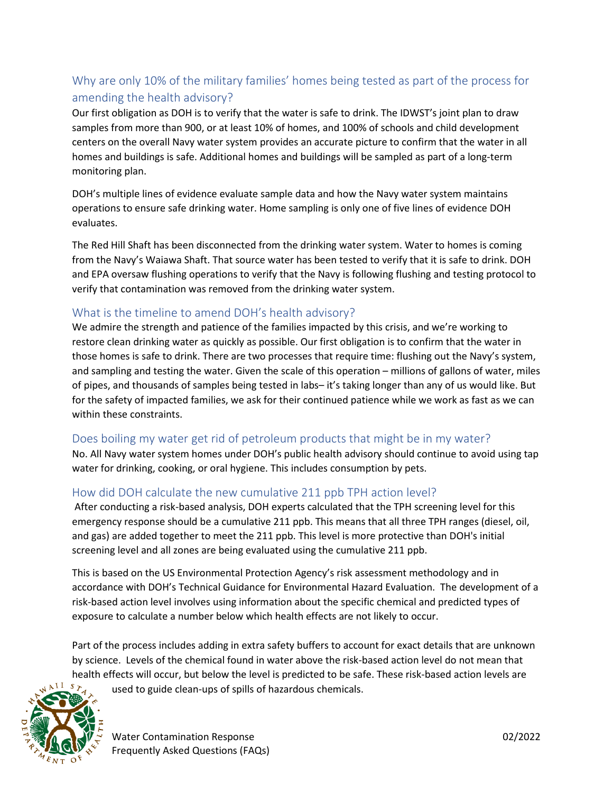## Why are only 10% of the military families' homes being tested as part of the process for amending the health advisory?

Our first obligation as DOH is to verify that the water is safe to drink. The IDWST's joint plan to draw samples from more than 900, or at least 10% of homes, and 100% of schools and child development centers on the overall Navy water system provides an accurate picture to confirm that the water in all homes and buildings is safe. Additional homes and buildings will be sampled as part of a long-term monitoring plan.

DOH's multiple lines of evidence evaluate sample data and how the Navy water system maintains operations to ensure safe drinking water. Home sampling is only one of five lines of evidence DOH evaluates.

The Red Hill Shaft has been disconnected from the drinking water system. Water to homes is coming from the Navy's Waiawa Shaft. That source water has been tested to verify that it is safe to drink. DOH and EPA oversaw flushing operations to verify that the Navy is following flushing and testing protocol to verify that contamination was removed from the drinking water system.

## What is the timeline to amend DOH's health advisory?

We admire the strength and patience of the families impacted by this crisis, and we're working to restore clean drinking water as quickly as possible. Our first obligation is to confirm that the water in those homes is safe to drink. There are two processes that require time: flushing out the Navy's system, and sampling and testing the water. Given the scale of this operation – millions of gallons of water, miles of pipes, and thousands of samples being tested in labs– it's taking longer than any of us would like. But for the safety of impacted families, we ask for their continued patience while we work as fast as we can within these constraints.

## Does boiling my water get rid of petroleum products that might be in my water?

No. All Navy water system homes under DOH's public health advisory should continue to avoid using tap water for drinking, cooking, or oral hygiene. This includes consumption by pets.

## How did DOH calculate the new cumulative 211 ppb TPH action level?

After conducting a risk-based analysis, DOH experts calculated that the TPH screening level for this emergency response should be a cumulative 211 ppb. This means that all three TPH ranges (diesel, oil, and gas) are added together to meet the 211 ppb. This level is more protective than DOH's initial screening level and all zones are being evaluated using the cumulative 211 ppb.

This is based on the US Environmental Protection Agency's risk assessment methodology and in accordance with DOH's Technical Guidance for Environmental Hazard Evaluation. The development of a risk-based action level involves using information about the specific chemical and predicted types of exposure to calculate a number below which health effects are not likely to occur.

Part of the process includes adding in extra safety buffers to account for exact details that are unknown by science. Levels of the chemical found in water above the risk-based action level do not mean that health effects will occur, but below the level is predicted to be safe. These risk-based action levels are



used to guide clean-ups of spills of hazardous chemicals.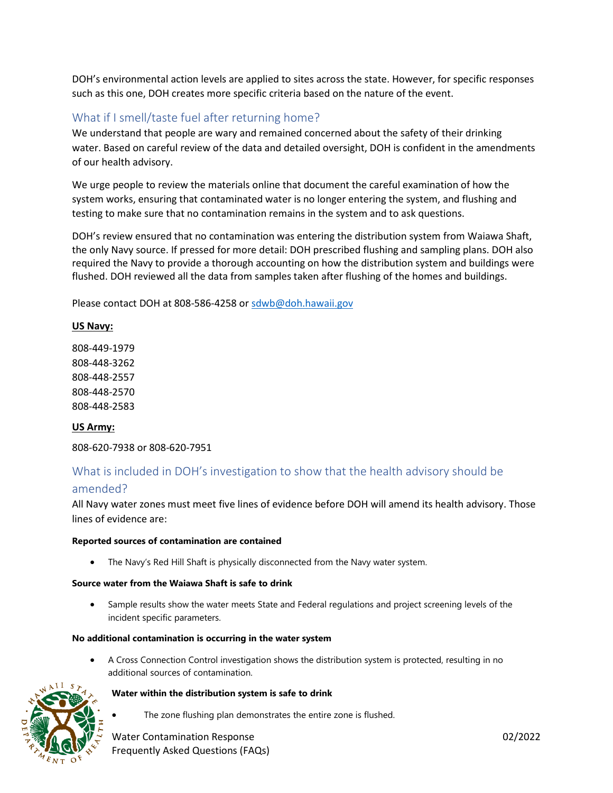DOH's environmental action levels are applied to sites across the state. However, for specific responses such as this one, DOH creates more specific criteria based on the nature of the event.

## What if I smell/taste fuel after returning home?

We understand that people are wary and remained concerned about the safety of their drinking water. Based on careful review of the data and detailed oversight, DOH is confident in the amendments of our health advisory.

We urge people to review the materials online that document the careful examination of how the system works, ensuring that contaminated water is no longer entering the system, and flushing and testing to make sure that no contamination remains in the system and to ask questions.

DOH's review ensured that no contamination was entering the distribution system from Waiawa Shaft, the only Navy source. If pressed for more detail: DOH prescribed flushing and sampling plans. DOH also required the Navy to provide a thorough accounting on how the distribution system and buildings were flushed. DOH reviewed all the data from samples taken after flushing of the homes and buildings.

Please contact DOH at 808-586-4258 or [sdwb@doh.hawaii.gov](mailto:sdwb@doh.hawaii.gov)

#### **US Navy:**

808-449-1979 808-448-3262 808-448-2557 808-448-2570 808-448-2583

#### **US Army:**

808-620-7938 or 808-620-7951

# What is included in DOH's investigation to show that the health advisory should be

#### amended?

All Navy water zones must meet five lines of evidence before DOH will amend its health advisory. Those lines of evidence are:

#### **Reported sources of contamination are contained**

• The Navy's Red Hill Shaft is physically disconnected from the Navy water system.

#### **Source water from the Waiawa Shaft is safe to drink**

Sample results show the water meets State and Federal regulations and project screening levels of the incident specific parameters.

#### **No additional contamination is occurring in the water system**

• A Cross Connection Control investigation shows the distribution system is protected, resulting in no additional sources of contamination.



#### **Water within the distribution system is safe to drink**

The zone flushing plan demonstrates the entire zone is flushed.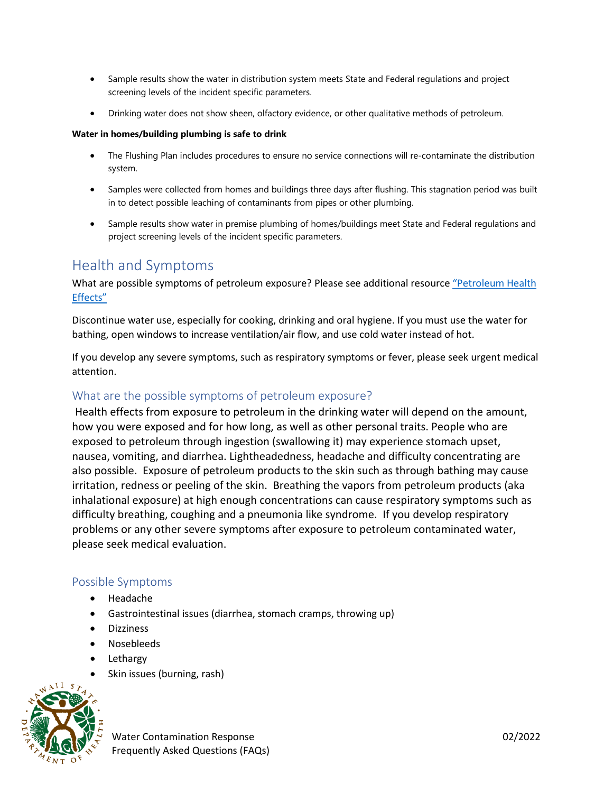- Sample results show the water in distribution system meets State and Federal regulations and project screening levels of the incident specific parameters.
- Drinking water does not show sheen, olfactory evidence, or other qualitative methods of petroleum.

#### **Water in homes/building plumbing is safe to drink**

- The Flushing Plan includes procedures to ensure no service connections will re-contaminate the distribution system.
- Samples were collected from homes and buildings three days after flushing. This stagnation period was built in to detect possible leaching of contaminants from pipes or other plumbing.
- Sample results show water in premise plumbing of homes/buildings meet State and Federal regulations and project screening levels of the incident specific parameters.

## Health and Symptoms

What are possible symptoms of petroleum exposure? Please see additional resource ["Petroleum Health](#page-5-0)  [Effects"](#page-5-0)

Discontinue water use, especially for cooking, drinking and oral hygiene. If you must use the water for bathing, open windows to increase ventilation/air flow, and use cold water instead of hot.

If you develop any severe symptoms, such as respiratory symptoms or fever, please seek urgent medical attention.

## What are the possible symptoms of petroleum exposure?

Health effects from exposure to petroleum in the drinking water will depend on the amount, how you were exposed and for how long, as well as other personal traits. People who are exposed to petroleum through ingestion (swallowing it) may experience stomach upset, nausea, vomiting, and diarrhea. Lightheadedness, headache and difficulty concentrating are also possible. Exposure of petroleum products to the skin such as through bathing may cause irritation, redness or peeling of the skin. Breathing the vapors from petroleum products (aka inhalational exposure) at high enough concentrations can cause respiratory symptoms such as difficulty breathing, coughing and a pneumonia like syndrome. If you develop respiratory problems or any other severe symptoms after exposure to petroleum contaminated water, please seek medical evaluation.

### Possible Symptoms

- Headache
- Gastrointestinal issues (diarrhea, stomach cramps, throwing up)
- **Dizziness**
- Nosebleeds
- **Lethargy**
- Skin issues (burning, rash)

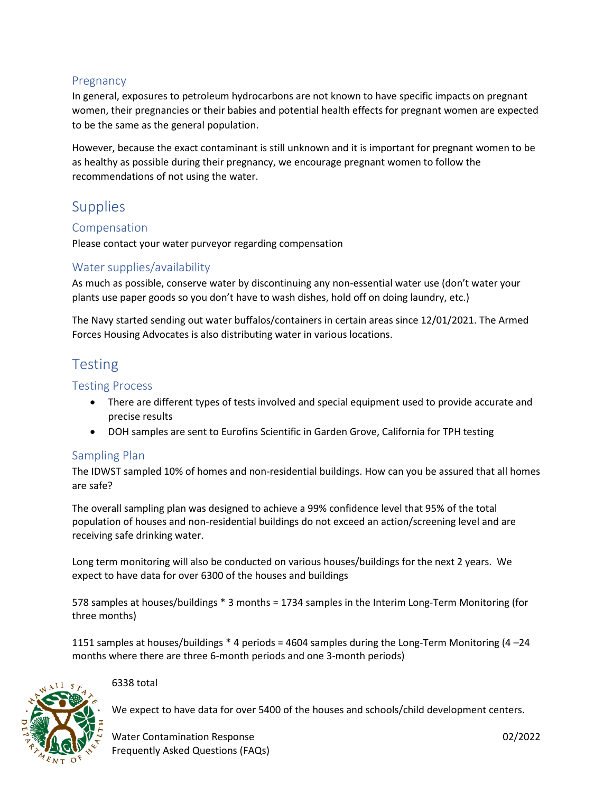## Pregnancy

In general, exposures to petroleum hydrocarbons are not known to have specific impacts on pregnant women, their pregnancies or their babies and potential health effects for pregnant women are expected to be the same as the general population.

However, because the exact contaminant is still unknown and it is important for pregnant women to be as healthy as possible during their pregnancy, we encourage pregnant women to follow the recommendations of not using the water.

## **Supplies**

## Compensation

Please contact your water purveyor regarding compensation

## Water supplies/availability

As much as possible, conserve water by discontinuing any non-essential water use (don't water your plants use paper goods so you don't have to wash dishes, hold off on doing laundry, etc.)

The Navy started sending out water buffalos/containers in certain areas since 12/01/2021. The Armed Forces Housing Advocates is also distributing water in various locations.

## Testing

### Testing Process

- There are different types of tests involved and special equipment used to provide accurate and precise results
- DOH samples are sent to Eurofins Scientific in Garden Grove, California for TPH testing

## Sampling Plan

The IDWST sampled 10% of homes and non-residential buildings. How can you be assured that all homes are safe?

The overall sampling plan was designed to achieve a 99% confidence level that 95% of the total population of houses and non-residential buildings do not exceed an action/screening level and are receiving safe drinking water.

Long term monitoring will also be conducted on various houses/buildings for the next 2 years. We expect to have data for over 6300 of the houses and buildings

578 samples at houses/buildings \* 3 months = 1734 samples in the Interim Long-Term Monitoring (for three months)

1151 samples at houses/buildings \* 4 periods = 4604 samples during the Long-Term Monitoring (4 –24 months where there are three 6-month periods and one 3-month periods)



### 6338 total

We expect to have data for over 5400 of the houses and schools/child development centers.